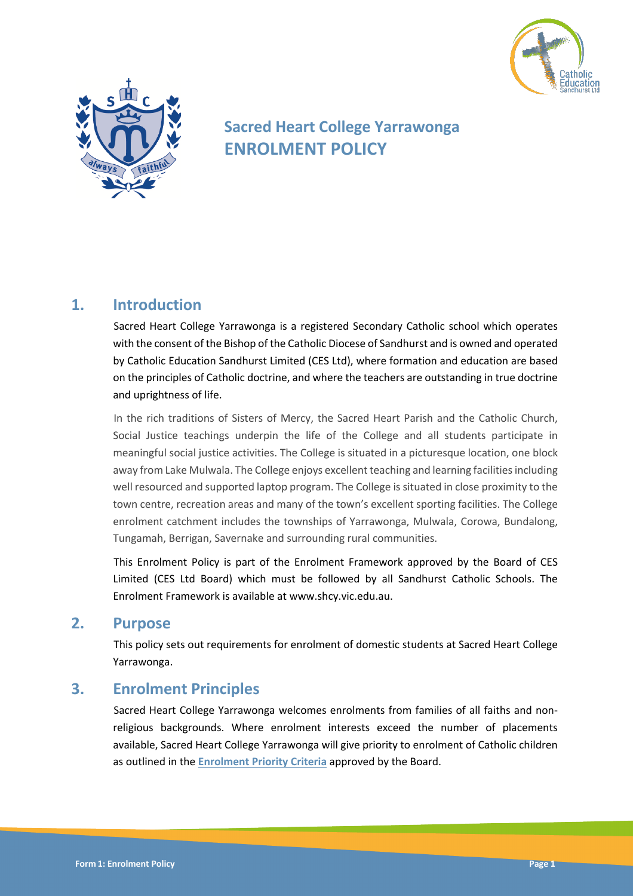



# **Sacred Heart College Yarrawonga ENROLMENT POLICY**

### **1. Introduction**

Sacred Heart College Yarrawonga is a registered Secondary Catholic school which operates with the consent of the Bishop of the Catholic Diocese of Sandhurst and is owned and operated by Catholic Education Sandhurst Limited (CES Ltd), where formation and education are based on the principles of Catholic doctrine, and where the teachers are outstanding in true doctrine and uprightness of life.

In the rich traditions of Sisters of Mercy, the Sacred Heart Parish and the Catholic Church, Social Justice teachings underpin the life of the College and all students participate in meaningful social justice activities. The College is situated in a picturesque location, one block away from Lake Mulwala. The College enjoys excellent teaching and learning facilities including well resourced and supported laptop program. The College is situated in close proximity to the town centre, recreation areas and many of the town's excellent sporting facilities. The College enrolment catchment includes the townships of Yarrawonga, Mulwala, Corowa, Bundalong, Tungamah, Berrigan, Savernake and surrounding rural communities.

This Enrolment Policy is part of the Enrolment Framework approved by the Board of CES Limited (CES Ltd Board) which must be followed by all Sandhurst Catholic Schools. The Enrolment Framework is available at www.shcy.vic.edu.au.

### **2. Purpose**

This policy sets out requirements for enrolment of domestic students at Sacred Heart College Yarrawonga.

### **3. Enrolment Principles**

Sacred Heart College Yarrawonga welcomes enrolments from families of all faiths and nonreligious backgrounds. Where enrolment interests exceed the number of placements available, Sacred Heart College Yarrawonga will give priority to enrolment of Catholic children as outlined in the **Enrolment Priority Criteria** approved by the Board.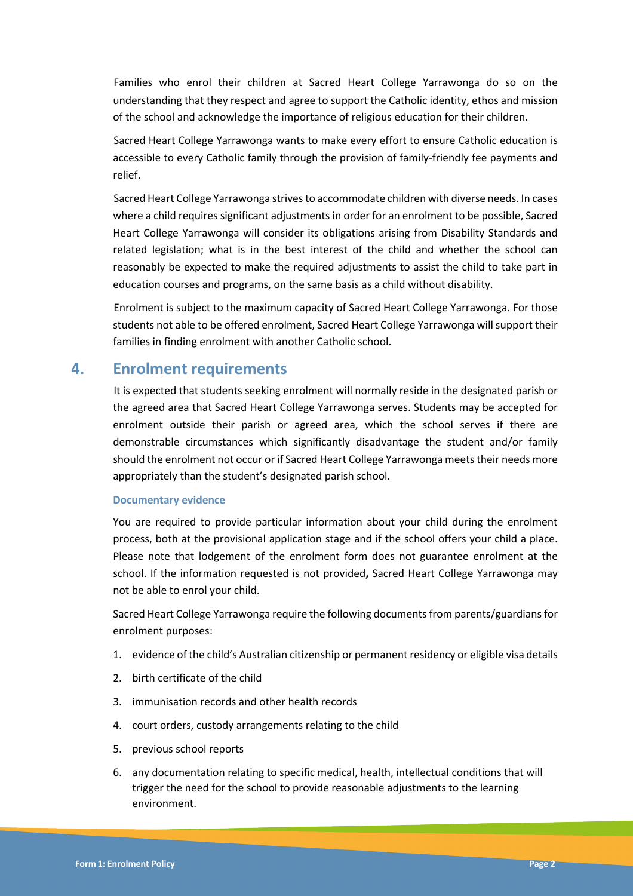Families who enrol their children at Sacred Heart College Yarrawonga do so on the understanding that they respect and agree to support the Catholic identity, ethos and mission of the school and acknowledge the importance of religious education for their children.

Sacred Heart College Yarrawonga wants to make every effort to ensure Catholic education is accessible to every Catholic family through the provision of family-friendly fee payments and relief.

Sacred Heart College Yarrawonga strives to accommodate children with diverse needs. In cases where a child requires significant adjustments in order for an enrolment to be possible, Sacred Heart College Yarrawonga will consider its obligations arising from Disability Standards and related legislation; what is in the best interest of the child and whether the school can reasonably be expected to make the required adjustments to assist the child to take part in education courses and programs, on the same basis as a child without disability.

Enrolment is subject to the maximum capacity of Sacred Heart College Yarrawonga. For those students not able to be offered enrolment, Sacred Heart College Yarrawonga will support their families in finding enrolment with another Catholic school.

### **4. Enrolment requirements**

It is expected that students seeking enrolment will normally reside in the designated parish or the agreed area that Sacred Heart College Yarrawonga serves. Students may be accepted for enrolment outside their parish or agreed area, which the school serves if there are demonstrable circumstances which significantly disadvantage the student and/or family should the enrolment not occur or if Sacred Heart College Yarrawonga meets their needs more appropriately than the student's designated parish school.

### **Documentary evidence**

You are required to provide particular information about your child during the enrolment process, both at the provisional application stage and if the school offers your child a place. Please note that lodgement of the enrolment form does not guarantee enrolment at the school. If the information requested is not provided**,** Sacred Heart College Yarrawonga may not be able to enrol your child.

Sacred Heart College Yarrawonga require the following documents from parents/guardians for enrolment purposes:

- 1. evidence of the child's Australian citizenship or permanent residency or eligible visa details
- 2. birth certificate of the child
- 3. immunisation records and other health records
- 4. court orders, custody arrangements relating to the child
- 5. previous school reports
- 6. any documentation relating to specific medical, health, intellectual conditions that will trigger the need for the school to provide reasonable adjustments to the learning environment.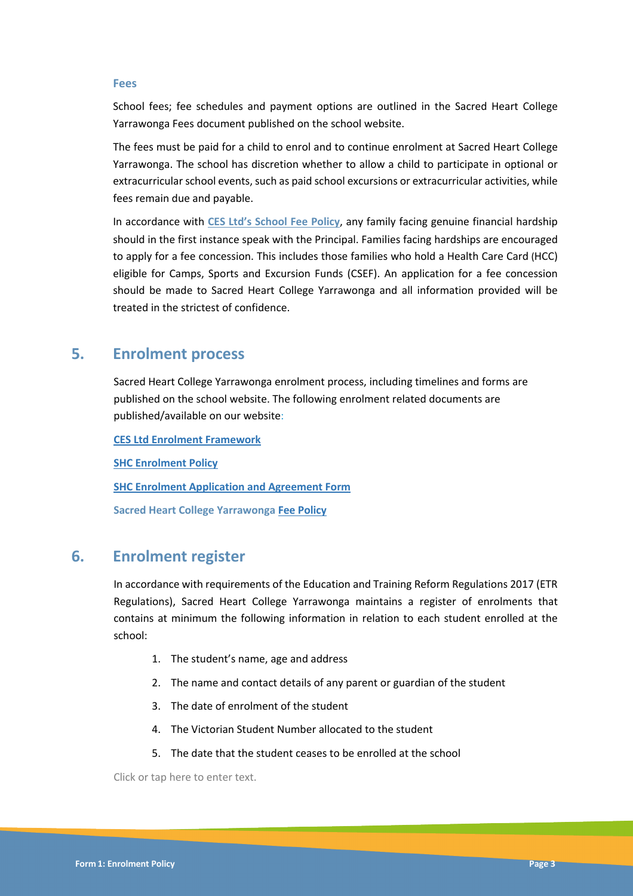#### **Fees**

School fees; fee schedules and payment options are outlined in the Sacred Heart College Yarrawonga Fees document published on the school website.

The fees must be paid for a child to enrol and to continue enrolment at Sacred Heart College Yarrawonga. The school has discretion whether to allow a child to participate in optional or extracurricular school events, such as paid school excursions or extracurricular activities, while fees remain due and payable.

In accordance with **CES Ltd's School Fee Policy**, any family facing genuine financial hardship should in the first instance speak with the Principal. Families facing hardships are encouraged to apply for a fee concession. This includes those families who hold a Health Care Card (HCC) eligible for Camps, Sports and Excursion Funds (CSEF). An application for a fee concession should be made to Sacred Heart College Yarrawonga and all information provided will be treated in the strictest of confidence.

### **5. Enrolment process**

Sacred Heart College Yarrawonga enrolment process, including timelines and forms are published on the school website. The following enrolment related documents are published/available on our website:

**CES Ltd Enrolment Framework**

**SHC Enrolment Policy**

**SHC Enrolment Application and Agreement Form**

**Sacred Heart College Yarrawonga Fee Policy**

### **6. Enrolment register**

In accordance with requirements of the Education and Training Reform Regulations 2017 (ETR Regulations), Sacred Heart College Yarrawonga maintains a register of enrolments that contains at minimum the following information in relation to each student enrolled at the school:

- 1. The student's name, age and address
- 2. The name and contact details of any parent or guardian of the student
- 3. The date of enrolment of the student
- 4. The Victorian Student Number allocated to the student
- 5. The date that the student ceases to be enrolled at the school

Click or tap here to enter text.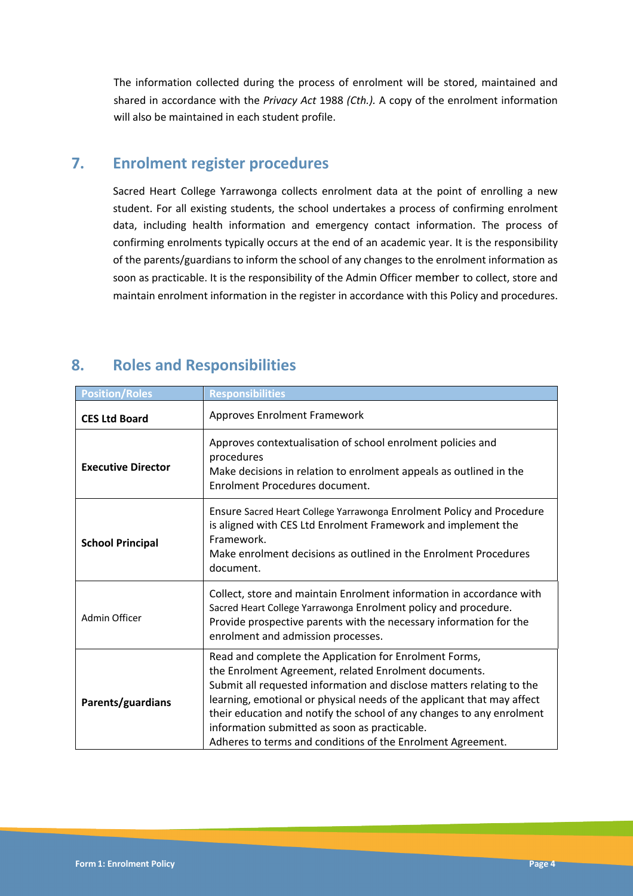The information collected during the process of enrolment will be stored, maintained and shared in accordance with the *Privacy Act* 1988 *(Cth.).* A copy of the enrolment information will also be maintained in each student profile.

### **7. Enrolment register procedures**

Sacred Heart College Yarrawonga collects enrolment data at the point of enrolling a new student. For all existing students, the school undertakes a process of confirming enrolment data, including health information and emergency contact information. The process of confirming enrolments typically occurs at the end of an academic year. It is the responsibility of the parents/guardians to inform the school of any changes to the enrolment information as soon as practicable. It is the responsibility of the Admin Officer member to collect, store and maintain enrolment information in the register in accordance with this Policy and procedures.

| <b>Position/Roles</b>     | <b>Responsibilities</b>                                                                                                                                                                                                                                                                                                                                                                                                                                     |
|---------------------------|-------------------------------------------------------------------------------------------------------------------------------------------------------------------------------------------------------------------------------------------------------------------------------------------------------------------------------------------------------------------------------------------------------------------------------------------------------------|
| <b>CES Ltd Board</b>      | <b>Approves Enrolment Framework</b>                                                                                                                                                                                                                                                                                                                                                                                                                         |
| <b>Executive Director</b> | Approves contextualisation of school enrolment policies and<br>procedures<br>Make decisions in relation to enrolment appeals as outlined in the<br>Enrolment Procedures document.                                                                                                                                                                                                                                                                           |
| <b>School Principal</b>   | Ensure Sacred Heart College Yarrawonga Enrolment Policy and Procedure<br>is aligned with CES Ltd Enrolment Framework and implement the<br>Framework.<br>Make enrolment decisions as outlined in the Enrolment Procedures<br>document.                                                                                                                                                                                                                       |
| Admin Officer             | Collect, store and maintain Enrolment information in accordance with<br>Sacred Heart College Yarrawonga Enrolment policy and procedure.<br>Provide prospective parents with the necessary information for the<br>enrolment and admission processes.                                                                                                                                                                                                         |
| Parents/guardians         | Read and complete the Application for Enrolment Forms,<br>the Enrolment Agreement, related Enrolment documents.<br>Submit all requested information and disclose matters relating to the<br>learning, emotional or physical needs of the applicant that may affect<br>their education and notify the school of any changes to any enrolment<br>information submitted as soon as practicable.<br>Adheres to terms and conditions of the Enrolment Agreement. |

## **8. Roles and Responsibilities**